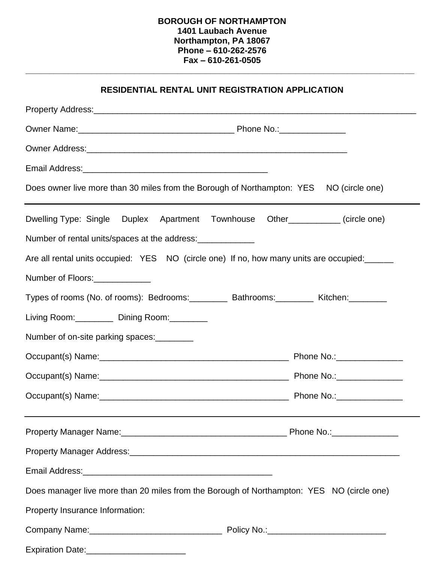## **BOROUGH OF NORTHAMPTON 1401 Laubach Avenue Northampton, PA 18067 Phone – 610-262-2576 Fax – 610-261-0505**

**\_\_\_\_\_\_\_\_\_\_\_\_\_\_\_\_\_\_\_\_\_\_\_\_\_\_\_\_\_\_\_\_\_\_\_\_\_\_\_\_\_\_\_\_\_\_\_\_\_\_\_\_\_\_\_\_\_\_\_\_\_\_\_\_\_\_\_\_\_\_\_\_\_\_\_\_\_\_\_\_\_\_**

| <b>RESIDENTIAL RENTAL UNIT REGISTRATION APPLICATION</b>                                                                                                                                                                        |  |
|--------------------------------------------------------------------------------------------------------------------------------------------------------------------------------------------------------------------------------|--|
|                                                                                                                                                                                                                                |  |
|                                                                                                                                                                                                                                |  |
|                                                                                                                                                                                                                                |  |
| Email Address: No. 2006. Email: Address: No. 2006. Email: Address: No. 2006. Email: Address: No. 2006. Email: A                                                                                                                |  |
| Does owner live more than 30 miles from the Borough of Northampton: YES NO (circle one)                                                                                                                                        |  |
| Dwelling Type: Single Duplex Apartment Townhouse Other__________(circle one)                                                                                                                                                   |  |
| Number of rental units/spaces at the address:                                                                                                                                                                                  |  |
| Are all rental units occupied: YES NO (circle one) If no, how many units are occupied:                                                                                                                                         |  |
| Number of Floors:                                                                                                                                                                                                              |  |
| Types of rooms (No. of rooms): Bedrooms: ________ Bathrooms: ________ Kitchen: _______                                                                                                                                         |  |
| Living Room: Dining Room:                                                                                                                                                                                                      |  |
| Number of on-site parking spaces:                                                                                                                                                                                              |  |
|                                                                                                                                                                                                                                |  |
|                                                                                                                                                                                                                                |  |
|                                                                                                                                                                                                                                |  |
| Property Manager Name: 1990 Mannel 2008 Manuscript Phone No.: 2008 Manuscript Phone No.: 2008                                                                                                                                  |  |
|                                                                                                                                                                                                                                |  |
| Email Address: Management of the Contract of the Contract of the Contract of the Contract of the Contract of the Contract of the Contract of the Contract of the Contract of the Contract of the Contract of the Contract of t |  |
| Does manager live more than 20 miles from the Borough of Northampton: YES NO (circle one)                                                                                                                                      |  |
| Property Insurance Information:                                                                                                                                                                                                |  |
|                                                                                                                                                                                                                                |  |
|                                                                                                                                                                                                                                |  |